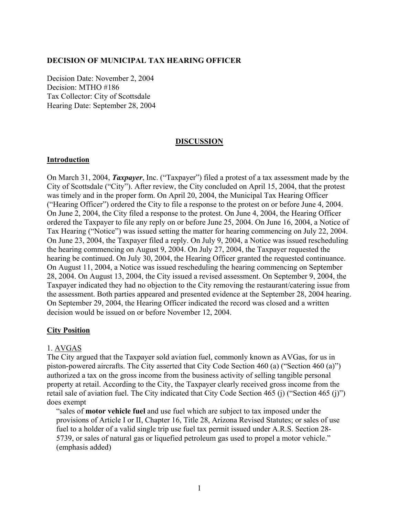#### **DECISION OF MUNICIPAL TAX HEARING OFFICER**

Decision Date: November 2, 2004 Decision: MTHO #186 Tax Collector: City of Scottsdale Hearing Date: September 28, 2004

### **DISCUSSION**

#### **Introduction**

On March 31, 2004, *Taxpayer*, Inc. ("Taxpayer") filed a protest of a tax assessment made by the City of Scottsdale ("City"). After review, the City concluded on April 15, 2004, that the protest was timely and in the proper form. On April 20, 2004, the Municipal Tax Hearing Officer ("Hearing Officer") ordered the City to file a response to the protest on or before June 4, 2004. On June 2, 2004, the City filed a response to the protest. On June 4, 2004, the Hearing Officer ordered the Taxpayer to file any reply on or before June 25, 2004. On June 16, 2004, a Notice of Tax Hearing ("Notice") was issued setting the matter for hearing commencing on July 22, 2004. On June 23, 2004, the Taxpayer filed a reply. On July 9, 2004, a Notice was issued rescheduling the hearing commencing on August 9, 2004. On July 27, 2004, the Taxpayer requested the hearing be continued. On July 30, 2004, the Hearing Officer granted the requested continuance. On August 11, 2004, a Notice was issued rescheduling the hearing commencing on September 28, 2004. On August 13, 2004, the City issued a revised assessment. On September 9, 2004, the Taxpayer indicated they had no objection to the City removing the restaurant/catering issue from the assessment. Both parties appeared and presented evidence at the September 28, 2004 hearing. On September 29, 2004, the Hearing Officer indicated the record was closed and a written decision would be issued on or before November 12, 2004.

#### **City Position**

#### 1. AVGAS

The City argued that the Taxpayer sold aviation fuel, commonly known as AVGas, for us in piston-powered aircrafts. The City asserted that City Code Section 460 (a) ("Section 460 (a)") authorized a tax on the gross income from the business activity of selling tangible personal property at retail. According to the City, the Taxpayer clearly received gross income from the retail sale of aviation fuel. The City indicated that City Code Section 465 (j) ("Section 465 (j)") does exempt

"sales of **motor vehicle fuel** and use fuel which are subject to tax imposed under the provisions of Article I or II, Chapter 16, Title 28, Arizona Revised Statutes; or sales of use fuel to a holder of a valid single trip use fuel tax permit issued under A.R.S. Section 28- 5739, or sales of natural gas or liquefied petroleum gas used to propel a motor vehicle." (emphasis added)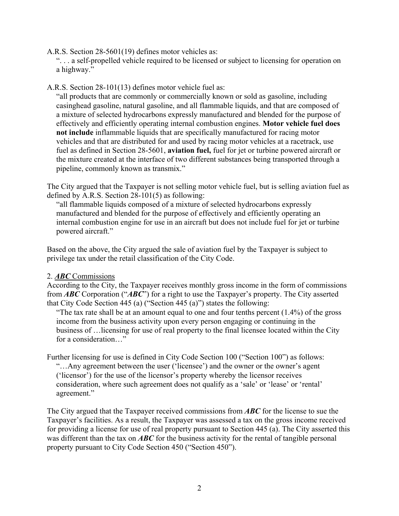A.R.S. Section 28-5601(19) defines motor vehicles as:

". . . a self-propelled vehicle required to be licensed or subject to licensing for operation on a highway."

A.R.S. Section 28-101(13) defines motor vehicle fuel as:

"all products that are commonly or commercially known or sold as gasoline, including casinghead gasoline, natural gasoline, and all flammable liquids, and that are composed of a mixture of selected hydrocarbons expressly manufactured and blended for the purpose of effectively and efficiently operating internal combustion engines. **Motor vehicle fuel does not include** inflammable liquids that are specifically manufactured for racing motor vehicles and that are distributed for and used by racing motor vehicles at a racetrack, use fuel as defined in Section 28-5601, **aviation fuel,** fuel for jet or turbine powered aircraft or the mixture created at the interface of two different substances being transported through a pipeline, commonly known as transmix."

The City argued that the Taxpayer is not selling motor vehicle fuel, but is selling aviation fuel as defined by A.R.S. Section 28-101(5) as following:

"all flammable liquids composed of a mixture of selected hydrocarbons expressly manufactured and blended for the purpose of effectively and efficiently operating an internal combustion engine for use in an aircraft but does not include fuel for jet or turbine powered aircraft."

Based on the above, the City argued the sale of aviation fuel by the Taxpayer is subject to privilege tax under the retail classification of the City Code.

### 2. *ABC* Commissions

According to the City, the Taxpayer receives monthly gross income in the form of commissions from *ABC* Corporation ("*ABC*") for a right to use the Taxpayer's property. The City asserted that City Code Section 445 (a) ("Section 445 (a)") states the following:

"The tax rate shall be at an amount equal to one and four tenths percent  $(1.4\%)$  of the gross income from the business activity upon every person engaging or continuing in the business of …licensing for use of real property to the final licensee located within the City for a consideration  $\cdots$ 

Further licensing for use is defined in City Code Section 100 ("Section 100") as follows:

"…Any agreement between the user ('licensee') and the owner or the owner's agent ('licensor') for the use of the licensor's property whereby the licensor receives consideration, where such agreement does not qualify as a 'sale' or 'lease' or 'rental' agreement."

The City argued that the Taxpayer received commissions from *ABC* for the license to sue the Taxpayer's facilities. As a result, the Taxpayer was assessed a tax on the gross income received for providing a license for use of real property pursuant to Section 445 (a). The City asserted this was different than the tax on *ABC* for the business activity for the rental of tangible personal property pursuant to City Code Section 450 ("Section 450").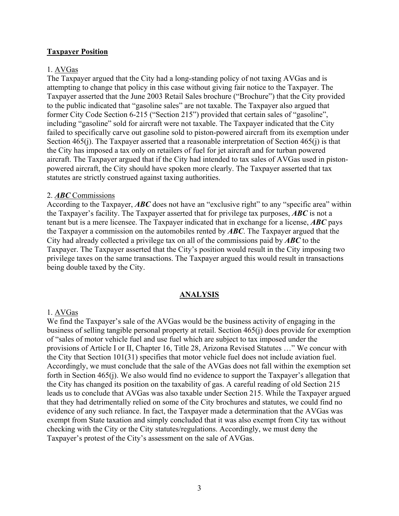## **Taxpayer Position**

## 1. AVGas

The Taxpayer argued that the City had a long-standing policy of not taxing AVGas and is attempting to change that policy in this case without giving fair notice to the Taxpayer. The Taxpayer asserted that the June 2003 Retail Sales brochure ("Brochure") that the City provided to the public indicated that "gasoline sales" are not taxable. The Taxpayer also argued that former City Code Section 6-215 ("Section 215") provided that certain sales of "gasoline", including "gasoline" sold for aircraft were not taxable. The Taxpayer indicated that the City failed to specifically carve out gasoline sold to piston-powered aircraft from its exemption under Section 465(j). The Taxpayer asserted that a reasonable interpretation of Section 465(j) is that the City has imposed a tax only on retailers of fuel for jet aircraft and for turban powered aircraft. The Taxpayer argued that if the City had intended to tax sales of AVGas used in pistonpowered aircraft, the City should have spoken more clearly. The Taxpayer asserted that tax statutes are strictly construed against taxing authorities.

### 2. *ABC* Commissions

According to the Taxpayer, *ABC* does not have an "exclusive right" to any "specific area" within the Taxpayer's facility. The Taxpayer asserted that for privilege tax purposes, *ABC* is not a tenant but is a mere licensee. The Taxpayer indicated that in exchange for a license, *ABC* pays the Taxpayer a commission on the automobiles rented by *ABC*. The Taxpayer argued that the City had already collected a privilege tax on all of the commissions paid by *ABC* to the Taxpayer. The Taxpayer asserted that the City's position would result in the City imposing two privilege taxes on the same transactions. The Taxpayer argued this would result in transactions being double taxed by the City.

### **ANALYSIS**

### 1. AVGas

We find the Taxpayer's sale of the AVGas would be the business activity of engaging in the business of selling tangible personal property at retail. Section 465(j) does provide for exemption of "sales of motor vehicle fuel and use fuel which are subject to tax imposed under the provisions of Article I or II, Chapter 16, Title 28, Arizona Revised Statutes …" We concur with the City that Section 101(31) specifies that motor vehicle fuel does not include aviation fuel. Accordingly, we must conclude that the sale of the AVGas does not fall within the exemption set forth in Section 465(j). We also would find no evidence to support the Taxpayer's allegation that the City has changed its position on the taxability of gas. A careful reading of old Section 215 leads us to conclude that AVGas was also taxable under Section 215. While the Taxpayer argued that they had detrimentally relied on some of the City brochures and statutes, we could find no evidence of any such reliance. In fact, the Taxpayer made a determination that the AVGas was exempt from State taxation and simply concluded that it was also exempt from City tax without checking with the City or the City statutes/regulations. Accordingly, we must deny the Taxpayer's protest of the City's assessment on the sale of AVGas.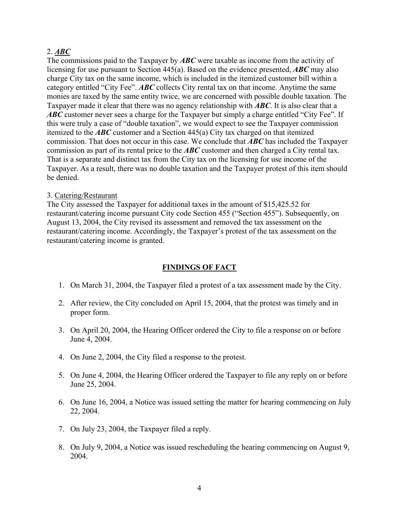## 2. *ABC*

The commissions paid to the Taxpayer by *ABC* were taxable as income from the activity of licensing for use pursuant to Section 445(a). Based on the evidence presented, *ABC* may also charge City tax on the same income, which is included in the itemized customer bill within a category entitled "City Fee". *ABC* collects City rental tax on that income. Anytime the same monies are taxed by the same entity twice, we are concerned with possible double taxation. The Taxpayer made it clear that there was no agency relationship with *ABC*. It is also clear that a ABC customer never sees a charge for the Taxpayer but simply a charge entitled "City Fee". If this were truly a case of "double taxation", we would expect to see the Taxpayer commission itemized to the *ABC* customer and a Section 445(a) City tax charged on that itemized commission. That does not occur in this case. We conclude that *ABC* has included the Taxpayer commission as part of its rental price to the *ABC* customer and then charged a City rental tax. That is a separate and distinct tax from the City tax on the licensing for use income of the Taxpayer. As a result, there was no double taxation and the Taxpayer protest of this item should be denied.

### 3. Catering/Restaurant

The City assessed the Taxpayer for additional taxes in the amount of \$15,425.52 for restaurant/catering income pursuant City code Section 455 ("Section 455"). Subsequently, on August 13, 2004, the City revised its assessment and removed the tax assessment on the restaurant/catering income. Accordingly, the Taxpayer's protest of the tax assessment on the restaurant/catering income is granted.

# **FINDINGS OF FACT**

- 1. On March 31, 2004, the Taxpayer filed a protest of a tax assessment made by the City.
- 2. After review, the City concluded on April 15, 2004, that the protest was timely and in proper form.
- 3. On April 20, 2004, the Hearing Officer ordered the City to file a response on or before June 4, 2004.
- 4. On June 2, 2004, the City filed a response to the protest.
- 5. On June 4, 2004, the Hearing Officer ordered the Taxpayer to file any reply on or before June 25, 2004.
- 6. On June 16, 2004, a Notice was issued setting the matter for hearing commencing on July 22, 2004.
- 7. On July 23, 2004, the Taxpayer filed a reply.
- 8. On July 9, 2004, a Notice was issued rescheduling the hearing commencing on August 9, 2004.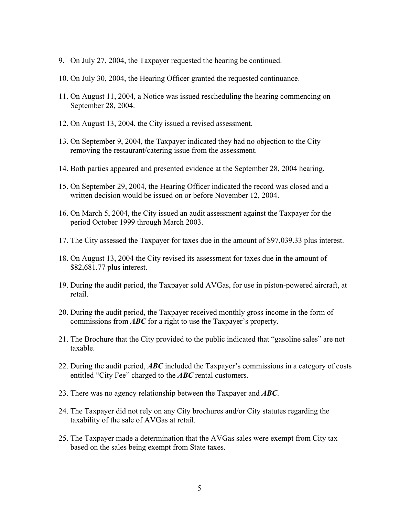- 9. On July 27, 2004, the Taxpayer requested the hearing be continued.
- 10. On July 30, 2004, the Hearing Officer granted the requested continuance.
- 11. On August 11, 2004, a Notice was issued rescheduling the hearing commencing on September 28, 2004.
- 12. On August 13, 2004, the City issued a revised assessment.
- 13. On September 9, 2004, the Taxpayer indicated they had no objection to the City removing the restaurant/catering issue from the assessment.
- 14. Both parties appeared and presented evidence at the September 28, 2004 hearing.
- 15. On September 29, 2004, the Hearing Officer indicated the record was closed and a written decision would be issued on or before November 12, 2004.
- 16. On March 5, 2004, the City issued an audit assessment against the Taxpayer for the period October 1999 through March 2003.
- 17. The City assessed the Taxpayer for taxes due in the amount of \$97,039.33 plus interest.
- 18. On August 13, 2004 the City revised its assessment for taxes due in the amount of \$82,681.77 plus interest.
- 19. During the audit period, the Taxpayer sold AVGas, for use in piston-powered aircraft, at retail.
- 20. During the audit period, the Taxpayer received monthly gross income in the form of commissions from *ABC* for a right to use the Taxpayer's property.
- 21. The Brochure that the City provided to the public indicated that "gasoline sales" are not taxable.
- 22. During the audit period, *ABC* included the Taxpayer's commissions in a category of costs entitled "City Fee" charged to the *ABC* rental customers.
- 23. There was no agency relationship between the Taxpayer and *ABC*.
- 24. The Taxpayer did not rely on any City brochures and/or City statutes regarding the taxability of the sale of AVGas at retail.
- 25. The Taxpayer made a determination that the AVGas sales were exempt from City tax based on the sales being exempt from State taxes.